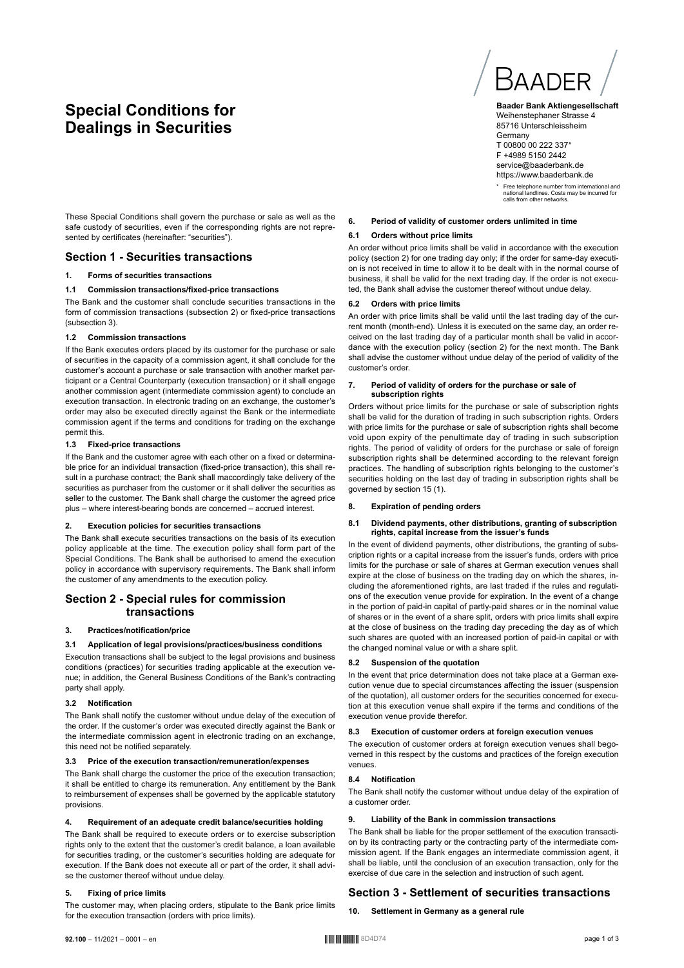# **Special Conditions for Dealings in Securities**

These Special Conditions shall govern the purchase or sale as well as the safe custody of securities, even if the corresponding rights are not represented by certificates (hereinafter: "securities").

# **Section 1 - Securities transactions**

# **1. Forms of securities transactions**

#### **1.1 Commission transactions/fixed-price transactions**

The Bank and the customer shall conclude securities transactions in the form of commission transactions (subsection 2) or fixed-price transactions (subsection 3).

#### **1.2 Commission transactions**

If the Bank executes orders placed by its customer for the purchase or sale of securities in the capacity of a commission agent, it shall conclude for the customer's account a purchase or sale transaction with another market participant or a Central Counterparty (execution transaction) or it shall engage another commission agent (intermediate commission agent) to conclude an execution transaction. In electronic trading on an exchange, the customer's order may also be executed directly against the Bank or the intermediate commission agent if the terms and conditions for trading on the exchange permit this.

#### **1.3 Fixed-price transactions**

If the Bank and the customer agree with each other on a fixed or determinable price for an individual transaction (fixed-price transaction), this shall result in a purchase contract; the Bank shall maccordingly take delivery of the securities as purchaser from the customer or it shall deliver the securities as seller to the customer. The Bank shall charge the customer the agreed price plus – where interest-bearing bonds are concerned – accrued interest.

## **2. Execution policies for securities transactions**

The Bank shall execute securities transactions on the basis of its execution policy applicable at the time. The execution policy shall form part of the Special Conditions. The Bank shall be authorised to amend the execution policy in accordance with supervisory requirements. The Bank shall inform the customer of any amendments to the execution policy.

# **Section 2 - Special rules for commission transactions**

# **3. Practices/notification/price**

# **3.1 Application of legal provisions/practices/business conditions**

Execution transactions shall be subject to the legal provisions and business conditions (practices) for securities trading applicable at the execution venue; in addition, the General Business Conditions of the Bank's contracting party shall apply.

#### **3.2 Notification**

The Bank shall notify the customer without undue delay of the execution of the order. If the customer's order was executed directly against the Bank or the intermediate commission agent in electronic trading on an exchange, this need not be notified separately.

### **3.3 Price of the execution transaction/remuneration/expenses**

The Bank shall charge the customer the price of the execution transaction; it shall be entitled to charge its remuneration. Any entitlement by the Bank to reimbursement of expenses shall be governed by the applicable statutory provisions.

#### **4. Requirement of an adequate credit balance/securities holding**

The Bank shall be required to execute orders or to exercise subscription rights only to the extent that the customer's credit balance, a loan available for securities trading, or the customer's securities holding are adequate for execution. If the Bank does not execute all or part of the order, it shall advise the customer thereof without undue delay.

#### **5. Fixing of price limits**

The customer may, when placing orders, stipulate to the Bank price limits for the execution transaction (orders with price limits).



Weihenstephaner Strasse 4 85716 Unterschleissheim **Germany** T 00800 00 222 337\* F +4989 5150 2442 service@baaderbank.de https://www.baaderbank.de

\* Free telephone number from international and national landlines. Costs may be incurred for calls from other networks.

#### **6. Period of validity of customer orders unlimited in time**

# **6.1 Orders without price limits**

An order without price limits shall be valid in accordance with the execution policy (section 2) for one trading day only; if the order for same-day execution is not received in time to allow it to be dealt with in the normal course of business, it shall be valid for the next trading day. If the order is not executed, the Bank shall advise the customer thereof without undue delay.

#### **6.2 Orders with price limits**

An order with price limits shall be valid until the last trading day of the current month (month-end). Unless it is executed on the same day, an order received on the last trading day of a particular month shall be valid in accordance with the execution policy (section 2) for the next month. The Bank shall advise the customer without undue delay of the period of validity of the customer's order.

#### **7. Period of validity of orders for the purchase or sale of subscription rights**

Orders without price limits for the purchase or sale of subscription rights shall be valid for the duration of trading in such subscription rights. Orders with price limits for the purchase or sale of subscription rights shall become void upon expiry of the penultimate day of trading in such subscription rights. The period of validity of orders for the purchase or sale of foreign subscription rights shall be determined according to the relevant foreign practices. The handling of subscription rights belonging to the customer's securities holding on the last day of trading in subscription rights shall be governed by section 15 (1).

#### **8. Expiration of pending orders**

# **8.1 Dividend payments, other distributions, granting of subscription rights, capital increase from the issuer's funds**

In the event of dividend payments, other distributions, the granting of subscription rights or a capital increase from the issuer's funds, orders with price limits for the purchase or sale of shares at German execution venues shall expire at the close of business on the trading day on which the shares, including the aforementioned rights, are last traded if the rules and regulations of the execution venue provide for expiration. In the event of a change in the portion of paid-in capital of partly-paid shares or in the nominal value of shares or in the event of a share split, orders with price limits shall expire at the close of business on the trading day preceding the day as of which such shares are quoted with an increased portion of paid-in capital or with the changed nominal value or with a share split.

#### **8.2 Suspension of the quotation**

In the event that price determination does not take place at a German execution venue due to special circumstances affecting the issuer (suspension of the quotation), all customer orders for the securities concerned for execution at this execution venue shall expire if the terms and conditions of the execution venue provide therefor.

#### **8.3 Execution of customer orders at foreign execution venues**

The execution of customer orders at foreign execution venues shall begoverned in this respect by the customs and practices of the foreign execution venues.

#### **8.4 Notification**

The Bank shall notify the customer without undue delay of the expiration of a customer order.

#### **9. Liability of the Bank in commission transactions**

The Bank shall be liable for the proper settlement of the execution transaction by its contracting party or the contracting party of the intermediate commission agent. If the Bank engages an intermediate commission agent, it shall be liable, until the conclusion of an execution transaction, only for the exercise of due care in the selection and instruction of such agent.

# **Section 3 - Settlement of securities transactions**

**10. Settlement in Germany as a general rule**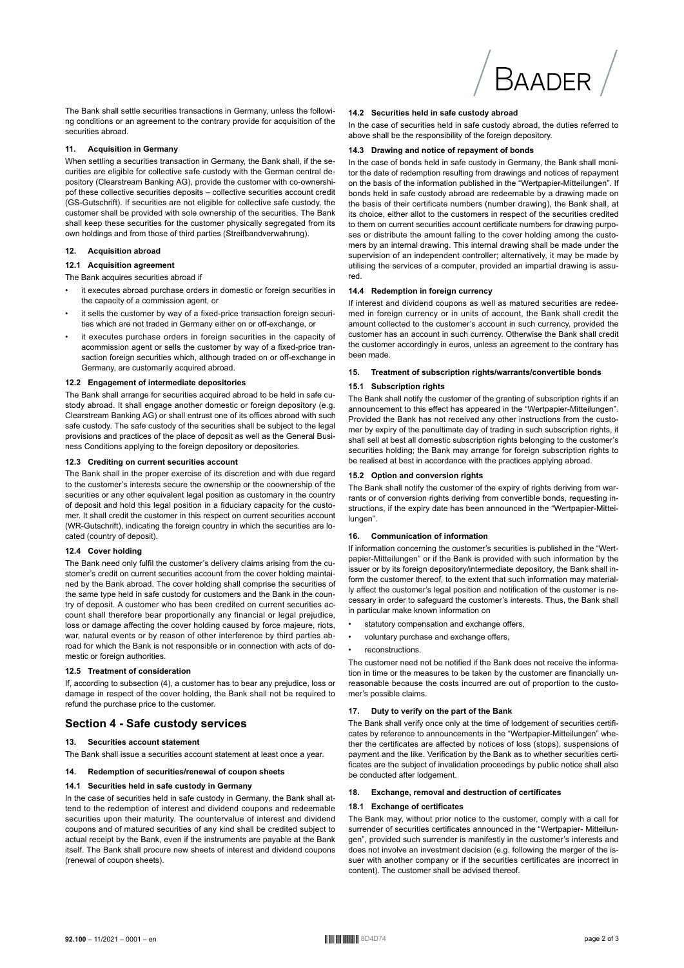

The Bank shall settle securities transactions in Germany, unless the following conditions or an agreement to the contrary provide for acquisition of the securities abroad.

# **11. Acquisition in Germany**

When settling a securities transaction in Germany, the Bank shall, if the securities are eligible for collective safe custody with the German central depository (Clearstream Banking AG), provide the customer with co-ownershipof these collective securities deposits – collective securities account credit (GS-Gutschrift). If securities are not eligible for collective safe custody, the customer shall be provided with sole ownership of the securities. The Bank shall keep these securities for the customer physically segregated from its own holdings and from those of third parties (Streifbandverwahrung).

#### **12. Acquisition abroad**

#### **12.1 Acquisition agreement**

The Bank acquires securities abroad if

- it executes abroad purchase orders in domestic or foreign securities in the capacity of a commission agent, or
- it sells the customer by way of a fixed-price transaction foreign securities which are not traded in Germany either on or off-exchange, or
- it executes purchase orders in foreign securities in the capacity of acommission agent or sells the customer by way of a fixed-price transaction foreign securities which, although traded on or off-exchange in Germany, are customarily acquired abroad.

# **12.2 Engagement of intermediate depositories**

The Bank shall arrange for securities acquired abroad to be held in safe custody abroad. It shall engage another domestic or foreign depository (e.g. Clearstream Banking AG) or shall entrust one of its offices abroad with such safe custody. The safe custody of the securities shall be subject to the legal provisions and practices of the place of deposit as well as the General Business Conditions applying to the foreign depository or depositories.

### **12.3 Crediting on current securities account**

The Bank shall in the proper exercise of its discretion and with due regard to the customer's interests secure the ownership or the coownership of the securities or any other equivalent legal position as customary in the country of deposit and hold this legal position in a fiduciary capacity for the customer. It shall credit the customer in this respect on current securities account (WR-Gutschrift), indicating the foreign country in which the securities are located (country of deposit).

#### **12.4 Cover holding**

The Bank need only fulfil the customer's delivery claims arising from the customer's credit on current securities account from the cover holding maintained by the Bank abroad. The cover holding shall comprise the securities of the same type held in safe custody for customers and the Bank in the country of deposit. A customer who has been credited on current securities account shall therefore bear proportionally any financial or legal prejudice, loss or damage affecting the cover holding caused by force majeure, riots, war, natural events or by reason of other interference by third parties abroad for which the Bank is not responsible or in connection with acts of domestic or foreign authorities.

# **12.5 Treatment of consideration**

If, according to subsection (4), a customer has to bear any prejudice, loss or damage in respect of the cover holding, the Bank shall not be required to refund the purchase price to the customer.

# **Section 4 - Safe custody services**

#### **13. Securities account statement**

The Bank shall issue a securities account statement at least once a year.

# **14. Redemption of securities/renewal of coupon sheets**

#### **14.1 Securities held in safe custody in Germany**

In the case of securities held in safe custody in Germany, the Bank shall attend to the redemption of interest and dividend coupons and redeemable securities upon their maturity. The countervalue of interest and dividend coupons and of matured securities of any kind shall be credited subject to actual receipt by the Bank, even if the instruments are payable at the Bank itself. The Bank shall procure new sheets of interest and dividend coupons (renewal of coupon sheets).

#### **14.2 Securities held in safe custody abroad**

In the case of securities held in safe custody abroad, the duties referred to above shall be the responsibility of the foreign depository.

#### **14.3 Drawing and notice of repayment of bonds**

In the case of bonds held in safe custody in Germany, the Bank shall monitor the date of redemption resulting from drawings and notices of repayment on the basis of the information published in the "Wertpapier-Mitteilungen". If bonds held in safe custody abroad are redeemable by a drawing made on the basis of their certificate numbers (number drawing), the Bank shall, at its choice, either allot to the customers in respect of the securities credited to them on current securities account certificate numbers for drawing purposes or distribute the amount falling to the cover holding among the customers by an internal drawing. This internal drawing shall be made under the supervision of an independent controller; alternatively, it may be made by utilising the services of a computer, provided an impartial drawing is assured.

#### **14.4 Redemption in foreign currency**

If interest and dividend coupons as well as matured securities are redeemed in foreign currency or in units of account, the Bank shall credit the amount collected to the customer's account in such currency, provided the customer has an account in such currency. Otherwise the Bank shall credit the customer accordingly in euros, unless an agreement to the contrary has been made.

#### **15. Treatment of subscription rights/warrants/convertible bonds**

#### **15.1 Subscription rights**

The Bank shall notify the customer of the granting of subscription rights if an announcement to this effect has appeared in the "Wertpapier-Mitteilungen". Provided the Bank has not received any other instructions from the customer by expiry of the penultimate day of trading in such subscription rights, it shall sell at best all domestic subscription rights belonging to the customer's securities holding; the Bank may arrange for foreign subscription rights to be realised at best in accordance with the practices applying abroad.

#### **15.2 Option and conversion rights**

The Bank shall notify the customer of the expiry of rights deriving from warrants or of conversion rights deriving from convertible bonds, requesting instructions, if the expiry date has been announced in the "Wertpapier-Mitteilungen".

#### **16. Communication of information**

If information concerning the customer's securities is published in the "Wertpapier-Mitteilungen" or if the Bank is provided with such information by the issuer or by its foreign depository/intermediate depository, the Bank shall inform the customer thereof, to the extent that such information may materially affect the customer's legal position and notification of the customer is necessary in order to safeguard the customer's interests. Thus, the Bank shall in particular make known information on

- statutory compensation and exchange offers.
- voluntary purchase and exchange offers,
- **reconstructions**

The customer need not be notified if the Bank does not receive the information in time or the measures to be taken by the customer are financially unreasonable because the costs incurred are out of proportion to the customer's possible claims.

#### **17. Duty to verify on the part of the Bank**

The Bank shall verify once only at the time of lodgement of securities certificates by reference to announcements in the "Wertpapier-Mitteilungen" whether the certificates are affected by notices of loss (stops), suspensions of payment and the like. Verification by the Bank as to whether securities certificates are the subject of invalidation proceedings by public notice shall also be conducted after lodgement.

#### **18. Exchange, removal and destruction of certificates**

#### **18.1 Exchange of certificates**

The Bank may, without prior notice to the customer, comply with a call for surrender of securities certificates announced in the "Wertpapier- Mitteilungen", provided such surrender is manifestly in the customer's interests and does not involve an investment decision (e.g. following the merger of the issuer with another company or if the securities certificates are incorrect in content). The customer shall be advised thereof.